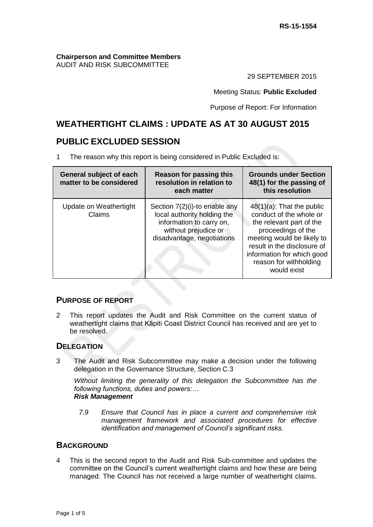#### **Chairperson and Committee Members** AUDIT AND RISK SUBCOMMITTEE

29 SEPTEMBER 2015

Meeting Status: **Public Excluded**

Purpose of Report: For Information

# **WEATHERTIGHT CLAIMS : UPDATE AS AT 30 AUGUST 2015**

# **PUBLIC EXCLUDED SESSION**

1 The reason why this report is being considered in Public Excluded is:

| <b>General subject of each</b><br>matter to be considered | Reason for passing this<br>resolution in relation to<br>each matter                                                                            | <b>Grounds under Section</b><br>48(1) for the passing of<br>this resolution                                                                                                                                                                   |
|-----------------------------------------------------------|------------------------------------------------------------------------------------------------------------------------------------------------|-----------------------------------------------------------------------------------------------------------------------------------------------------------------------------------------------------------------------------------------------|
| Update on Weathertight<br>Claims                          | Section 7(2)(i)-to enable any<br>local authority holding the<br>information to carry on,<br>without prejudice or<br>disadvantage, negotiations | $48(1)(a)$ : That the public<br>conduct of the whole or<br>the relevant part of the<br>proceedings of the<br>meeting would be likely to<br>result in the disclosure of<br>information for which good<br>reason for withholding<br>would exist |

## **PURPOSE OF REPORT**

2 This report updates the Audit and Risk Committee on the current status of weathertight claims that Kāpiti Coast District Council has received and are yet to be resolved.

## **DELEGATION**

3 The Audit and Risk Subcommittee may make a decision under the following delegation in the Governance Structure, Section C.3

*Without limiting the generality of this delegation the Subcommittee has the following functions, duties and powers:… Risk Management*

*7.9 Ensure that Council has in place a current and comprehensive risk management framework and associated procedures for effective identification and management of Council's significant risks.*

## **BACKGROUND**

4 This is the second report to the Audit and Risk Sub-committee and updates the committee on the Council's current weathertight claims and how these are being managed. The Council has not received a large number of weathertight claims.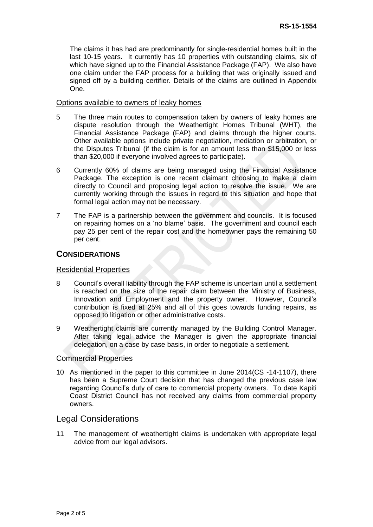The claims it has had are predominantly for single-residential homes built in the last 10-15 years. It currently has 10 properties with outstanding claims, six of which have signed up to the Financial Assistance Package (FAP). We also have one claim under the FAP process for a building that was originally issued and signed off by a building certifier. Details of the claims are outlined in Appendix One.

#### Options available to owners of leaky homes

- 5 The three main routes to compensation taken by owners of leaky homes are dispute resolution through the Weathertight Homes Tribunal (WHT), the Financial Assistance Package (FAP) and claims through the higher courts. Other available options include private negotiation, mediation or arbitration, or the Disputes Tribunal (if the claim is for an amount less than \$15,000 or less than \$20,000 if everyone involved agrees to participate).
- 6 Currently 60% of claims are being managed using the Financial Assistance Package. The exception is one recent claimant choosing to make a claim directly to Council and proposing legal action to resolve the issue. We are currently working through the issues in regard to this situation and hope that formal legal action may not be necessary.
- 7 The FAP is a partnership between the government and councils. It is focused on repairing homes on a 'no blame' basis. The government and council each pay 25 per cent of the repair cost and the homeowner pays the remaining 50 per cent.

### **CONSIDERATIONS**

#### Residential Properties

- 8 Council's overall liability through the FAP scheme is uncertain until a settlement is reached on the size of the repair claim between the Ministry of Business, Innovation and Employment and the property owner. However, Council's contribution is fixed at 25% and all of this goes towards funding repairs, as opposed to litigation or other administrative costs.
- 9 Weathertight claims are currently managed by the Building Control Manager. After taking legal advice the Manager is given the appropriate financial delegation, on a case by case basis, in order to negotiate a settlement.

#### Commercial Properties

10 As mentioned in the paper to this committee in June 2014(CS -14-1107), there has been a Supreme Court decision that has changed the previous case law regarding Council's duty of care to commercial property owners. To date Kapiti Coast District Council has not received any claims from commercial property owners.

#### Legal Considerations

11 The management of weathertight claims is undertaken with appropriate legal advice from our legal advisors.